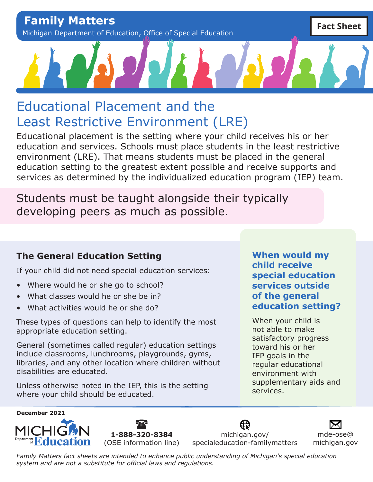**Family Matters** Michigan Department of Education, Office of Special Education

# Educational Placement and the Least Restrictive Environment (LRE)

Educational placement is the setting where your child receives his or her education and services. Schools must place students in the least restrictive environment (LRE). That means students must be placed in the general education setting to the greatest extent possible and receive supports and services as determined by the individualized education program (IEP) team.

Students must be taught alongside their typically developing peers as much as possible.

### **The General Education Setting**

If your child did not need special education services:

- Where would he or she go to school?
- What classes would he or she be in?
- What activities would he or she do?

These types of questions can help to identify the most appropriate education setting.

General (sometimes called regular) education settings include classrooms, lunchrooms, playgrounds, gyms, libraries, and any other location where children without disabilities are educated.

Unless otherwise noted in the IEP, this is the setting where your child should be educated.

**When would my child receive special education services outside of the general education setting?**

When your child is not able to make satisfactory progress toward his or her IEP goals in the regular educational environment with supplementary aids and services.





[michigan.gov/](http://michigan.gov/specialeducation-familymatters) [specialeducation-familymatters](http://michigan.gov/specialeducation-familymatters)

[mde-ose@](mailto:mde-ose%40michigan.gov?subject=) [michigan.gov](mailto:mde-ose%40michigan.gov?subject=)

**Fact Sheet**

*Family Matters fact sheets are intended to enhance public understanding of Michigan's special education system and are not a substitute for official laws and regulations.*